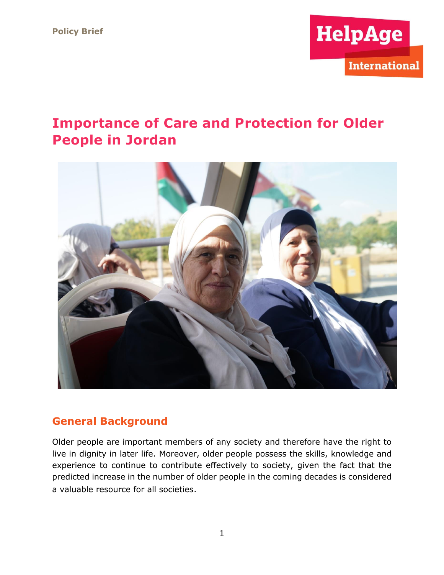

# **Importance of Care and Protection for Older People in Jordan**



### **General Background**

Older people are important members of any society and therefore have the right to live in dignity in later life. Moreover, older people possess the skills, knowledge and experience to continue to contribute effectively to society, given the fact that the predicted increase in the number of older people in the coming decades is considered a valuable resource for all societies.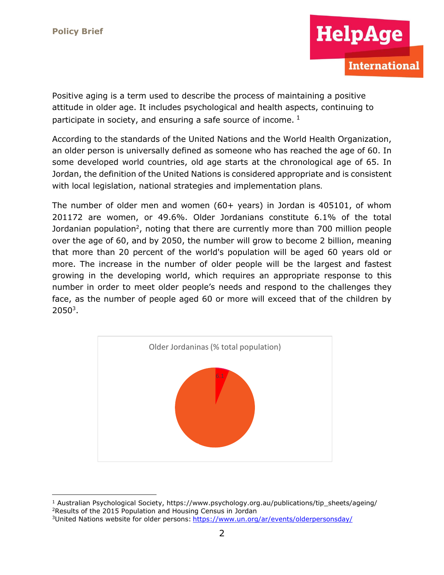

Positive aging is a term used to describe the process of maintaining a positive attitude in older age. It includes psychological and health aspects, continuing to participate in society, and ensuring a safe source of income.  $1$ 

According to the standards of the United Nations and the World Health Organization, an older person is universally defined as someone who has reached the age of 60. In some developed world countries, old age starts at the chronological age of 65. In Jordan, the definition of the United Nations is considered appropriate and is consistent with local legislation, national strategies and implementation plans.

The number of older men and women (60+ years) in Jordan is 405101, of whom 201172 are women, or 49.6%. Older Jordanians constitute 6.1% of the total Jordanian population<sup>2</sup>, noting that there are currently more than 700 million people over the age of 60, and by 2050, the number will grow to become 2 billion, meaning that more than 20 percent of the world's population will be aged 60 years old or more. The increase in the number of older people will be the largest and fastest growing in the developing world, which requires an appropriate response to this number in order to meet older people's needs and respond to the challenges they face, as the number of people aged 60 or more will exceed that of the children by  $2050<sup>3</sup>$ .



<sup>1</sup> Australian Psychological Society, https://www.psychology.org.au/publications/tip\_sheets/ageing/

<sup>2</sup>Results of the 2015 Population and Housing Census in Jordan

<sup>3</sup>United Nations website for older persons: <https://www.un.org/ar/events/olderpersonsday/>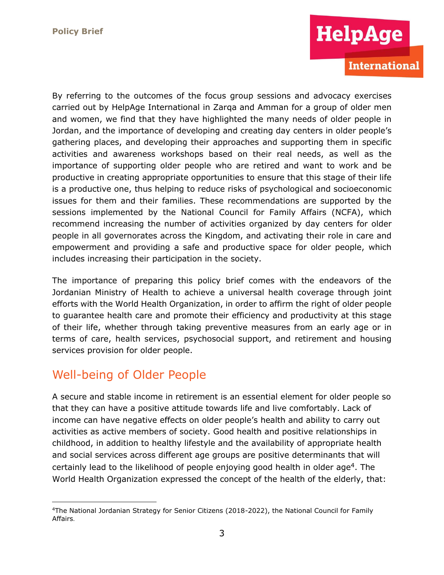

By referring to the outcomes of the focus group sessions and advocacy exercises carried out by HelpAge International in Zarqa and Amman for a group of older men and women, we find that they have highlighted the many needs of older people in Jordan, and the importance of developing and creating day centers in older people's gathering places, and developing their approaches and supporting them in specific activities and awareness workshops based on their real needs, as well as the importance of supporting older people who are retired and want to work and be productive in creating appropriate opportunities to ensure that this stage of their life is a productive one, thus helping to reduce risks of psychological and socioeconomic issues for them and their families. These recommendations are supported by the sessions implemented by the National Council for Family Affairs (NCFA), which recommend increasing the number of activities organized by day centers for older people in all governorates across the Kingdom, and activating their role in care and empowerment and providing a safe and productive space for older people, which includes increasing their participation in the society.

The importance of preparing this policy brief comes with the endeavors of the Jordanian Ministry of Health to achieve a universal health coverage through joint efforts with the World Health Organization, in order to affirm the right of older people to guarantee health care and promote their efficiency and productivity at this stage of their life, whether through taking preventive measures from an early age or in terms of care, health services, psychosocial support, and retirement and housing services provision for older people.

## Well-being of Older People

A secure and stable income in retirement is an essential element for older people so that they can have a positive attitude towards life and live comfortably. Lack of income can have negative effects on older people's health and ability to carry out activities as active members of society. Good health and positive relationships in childhood, in addition to healthy lifestyle and the availability of appropriate health and social services across different age groups are positive determinants that will certainly lead to the likelihood of people enjoying good health in older age<sup>4</sup>. The World Health Organization expressed the concept of the health of the elderly, that:

<sup>4</sup>The National Jordanian Strategy for Senior Citizens (2018-2022), the National Council for Family Affairs.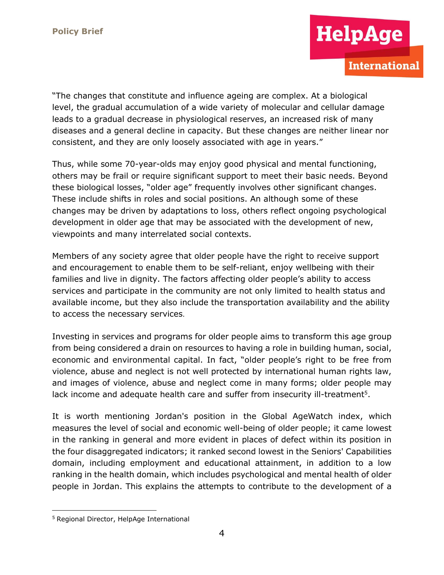

"The changes that constitute and influence ageing are complex. At a biological level, the gradual accumulation of a wide variety of molecular and cellular damage leads to a gradual decrease in physiological reserves, an increased risk of many diseases and a general decline in capacity. But these changes are neither linear nor consistent, and they are only loosely associated with age in years."

Thus, while some 70-year-olds may enjoy good physical and mental functioning, others may be frail or require significant support to meet their basic needs. Beyond these biological losses, "older age" frequently involves other significant changes. These include shifts in roles and social positions. An although some of these changes may be driven by adaptations to loss, others reflect ongoing psychological development in older age that may be associated with the development of new, viewpoints and many interrelated social contexts.

Members of any society agree that older people have the right to receive support and encouragement to enable them to be self-reliant, enjoy wellbeing with their families and live in dignity. The factors affecting older people's ability to access services and participate in the community are not only limited to health status and available income, but they also include the transportation availability and the ability to access the necessary services.

Investing in services and programs for older people aims to transform this age group from being considered a drain on resources to having a role in building human, social, economic and environmental capital. In fact, "older people's right to be free from violence, abuse and neglect is not well protected by international human rights law, and images of violence, abuse and neglect come in many forms; older people may lack income and adequate health care and suffer from insecurity ill-treatment<sup>5</sup>.

It is worth mentioning Jordan's position in the Global AgeWatch index, which measures the level of social and economic well-being of older people; it came lowest in the ranking in general and more evident in places of defect within its position in the four disaggregated indicators; it ranked second lowest in the Seniors' Capabilities domain, including employment and educational attainment, in addition to a low ranking in the health domain, which includes psychological and mental health of older people in Jordan. This explains the attempts to contribute to the development of a

<sup>5</sup> Regional Director, HelpAge International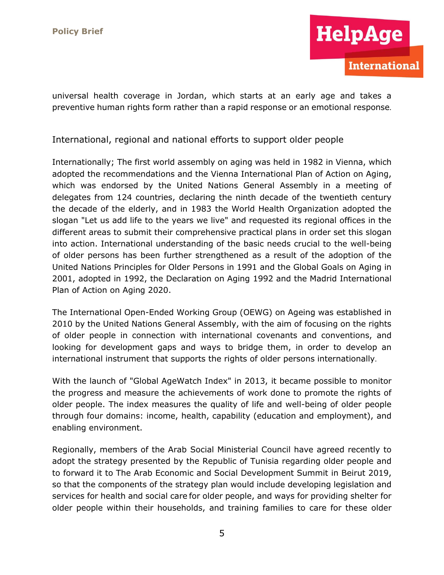

universal health coverage in Jordan, which starts at an early age and takes a preventive human rights form rather than a rapid response or an emotional response.

International, regional and national efforts to support older people

Internationally; The first world assembly on aging was held in 1982 in Vienna, which adopted the recommendations and the Vienna International Plan of Action on Aging, which was endorsed by the United Nations General Assembly in a meeting of delegates from 124 countries, declaring the ninth decade of the twentieth century the decade of the elderly, and in 1983 the World Health Organization adopted the slogan "Let us add life to the years we live" and requested its regional offices in the different areas to submit their comprehensive practical plans in order set this slogan into action. International understanding of the basic needs crucial to the well-being of older persons has been further strengthened as a result of the adoption of the United Nations Principles for Older Persons in 1991 and the Global Goals on Aging in 2001, adopted in 1992, the Declaration on Aging 1992 and the Madrid International Plan of Action on Aging 2020.

The International Open-Ended Working Group (OEWG) on Ageing was established in 2010 by the United Nations General Assembly, with the aim of focusing on the rights of older people in connection with international covenants and conventions, and looking for development gaps and ways to bridge them, in order to develop an international instrument that supports the rights of older persons internationally.

With the launch of "Global AgeWatch Index" in 2013, it became possible to monitor the progress and measure the achievements of work done to promote the rights of older people. The index measures the quality of life and well-being of older people through four domains: income, health, capability (education and employment), and enabling environment.

Regionally, members of the Arab Social Ministerial Council have agreed recently to adopt the strategy presented by the Republic of Tunisia regarding older people and to forward it to The Arab Economic and Social Development Summit in Beirut 2019, so that the components of the strategy plan would include developing legislation and services for health and social care for older people, and ways for providing shelter for older people within their households, and training families to care for these older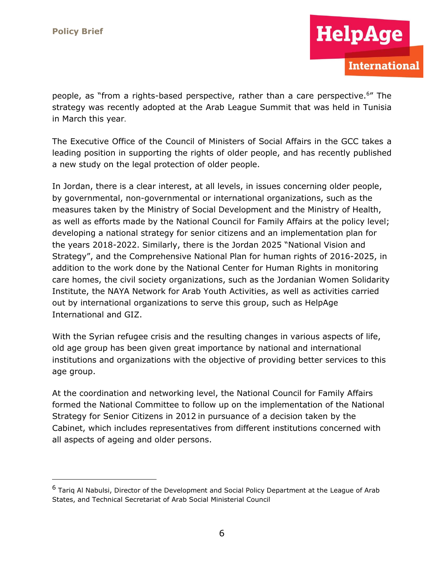HelpAge

people, as "from a rights-based perspective, rather than a care perspective.<sup>6</sup> " The strategy was recently adopted at the Arab League Summit that was held in Tunisia in March this year.

The Executive Office of the Council of Ministers of Social Affairs in the GCC takes a leading position in supporting the rights of older people, and has recently published a new study on the legal protection of older people.

In Jordan, there is a clear interest, at all levels, in issues concerning older people, by governmental, non-governmental or international organizations, such as the measures taken by the Ministry of Social Development and the Ministry of Health, as well as efforts made by the National Council for Family Affairs at the policy level; developing a national strategy for senior citizens and an implementation plan for the years 2018-2022. Similarly, there is the Jordan 2025 "National Vision and Strategy", and the Comprehensive National Plan for human rights of 2016-2025, in addition to the work done by the National Center for Human Rights in monitoring care homes, the civil society organizations, such as the Jordanian Women Solidarity Institute, the NAYA Network for Arab Youth Activities, as well as activities carried out by international organizations to serve this group, such as HelpAge International and GIZ.

With the Syrian refugee crisis and the resulting changes in various aspects of life, old age group has been given great importance by national and international institutions and organizations with the objective of providing better services to this age group.

At the coordination and networking level, the National Council for Family Affairs formed the National Committee to follow up on the implementation of the National Strategy for Senior Citizens in 2012 in pursuance of a decision taken by the Cabinet, which includes representatives from different institutions concerned with all aspects of ageing and older persons.

 $6$  Tarig Al Nabulsi, Director of the Development and Social Policy Department at the League of Arab States, and Technical Secretariat of Arab Social Ministerial Council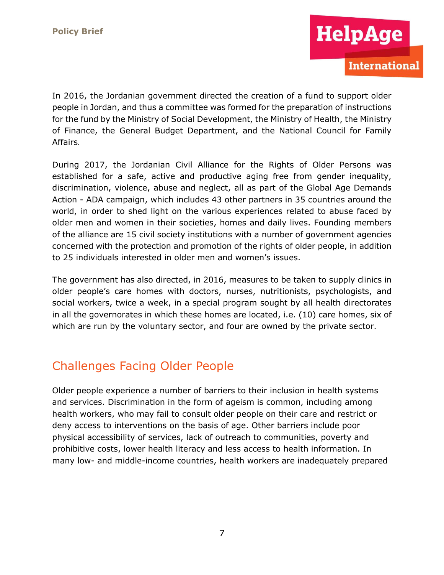

In 2016, the Jordanian government directed the creation of a fund to support older people in Jordan, and thus a committee was formed for the preparation of instructions for the fund by the Ministry of Social Development, the Ministry of Health, the Ministry of Finance, the General Budget Department, and the National Council for Family Affairs.

During 2017, the Jordanian Civil Alliance for the Rights of Older Persons was established for a safe, active and productive aging free from gender inequality, discrimination, violence, abuse and neglect, all as part of the Global Age Demands Action - ADA campaign, which includes 43 other partners in 35 countries around the world, in order to shed light on the various experiences related to abuse faced by older men and women in their societies, homes and daily lives. Founding members of the alliance are 15 civil society institutions with a number of government agencies concerned with the protection and promotion of the rights of older people, in addition to 25 individuals interested in older men and women's issues.

The government has also directed, in 2016, measures to be taken to supply clinics in older people's care homes with doctors, nurses, nutritionists, psychologists, and social workers, twice a week, in a special program sought by all health directorates in all the governorates in which these homes are located, i.e. (10) care homes, six of which are run by the voluntary sector, and four are owned by the private sector.

# Challenges Facing Older People

Older people experience a number of barriers to their inclusion in health systems and services. Discrimination in the form of ageism is common, including among health workers, who may fail to consult older people on their care and restrict or deny access to interventions on the basis of age. Other barriers include poor physical accessibility of services, lack of outreach to communities, poverty and prohibitive costs, lower health literacy and less access to health information. In many low- and middle-income countries, health workers are inadequately prepared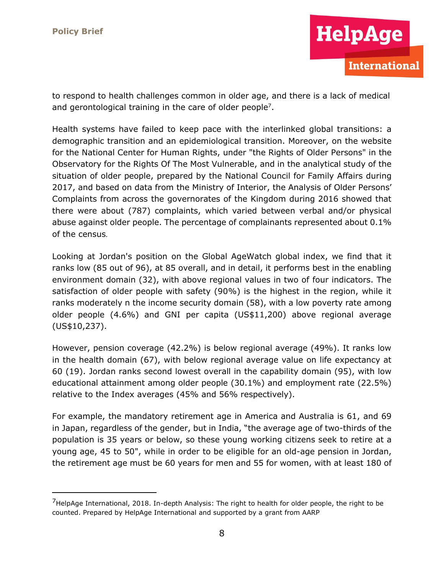

to respond to health challenges common in older age, and there is a lack of medical and gerontological training in the care of older people<sup>7</sup>.

Health systems have failed to keep pace with the interlinked global transitions: a demographic transition and an epidemiological transition. Moreover, on the website for the National Center for Human Rights, under "the Rights of Older Persons" in the Observatory for the Rights Of The Most Vulnerable, and in the analytical study of the situation of older people, prepared by the National Council for Family Affairs during 2017, and based on data from the Ministry of Interior, the Analysis of Older Persons' Complaints from across the governorates of the Kingdom during 2016 showed that there were about (787) complaints, which varied between verbal and/or physical abuse against older people. The percentage of complainants represented about 0.1% of the census.

Looking at Jordan's position on the Global AgeWatch global index, we find that it ranks low (85 out of 96), at 85 overall, and in detail, it performs best in the enabling environment domain (32), with above regional values in two of four indicators. The satisfaction of older people with safety (90%) is the highest in the region, while it ranks moderately n the income security domain (58), with a low poverty rate among older people (4.6%) and GNI per capita (US\$11,200) above regional average (US\$10,237).

However, pension coverage (42.2%) is below regional average (49%). It ranks low in the health domain (67), with below regional average value on life expectancy at 60 (19). Jordan ranks second lowest overall in the capability domain (95), with low educational attainment among older people (30.1%) and employment rate (22.5%) relative to the Index averages (45% and 56% respectively).

For example, the mandatory retirement age in America and Australia is 61, and 69 in Japan, regardless of the gender, but in India, "the average age of two-thirds of the population is 35 years or below, so these young working citizens seek to retire at a young age, 45 to 50", while in order to be eligible for an old-age pension in Jordan, the retirement age must be 60 years for men and 55 for women, with at least 180 of

 $<sup>7</sup>$ HelpAge International, 2018. In-depth Analysis: The right to health for older people, the right to be</sup> counted. Prepared by HelpAge International and supported by a grant from AARP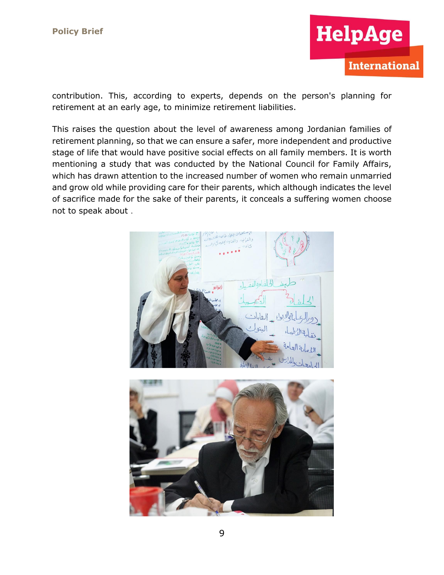

contribution. This, according to experts, depends on the person's planning for retirement at an early age, to minimize retirement liabilities.

This raises the question about the level of awareness among Jordanian families of retirement planning, so that we can ensure a safer, more independent and productive stage of life that would have positive social effects on all family members. It is worth mentioning a study that was conducted by the National Council for Family Affairs, which has drawn attention to the increased number of women who remain unmarried and grow old while providing care for their parents, which although indicates the level of sacrifice made for the sake of their parents, it conceals a suffering women choose not to speak about .

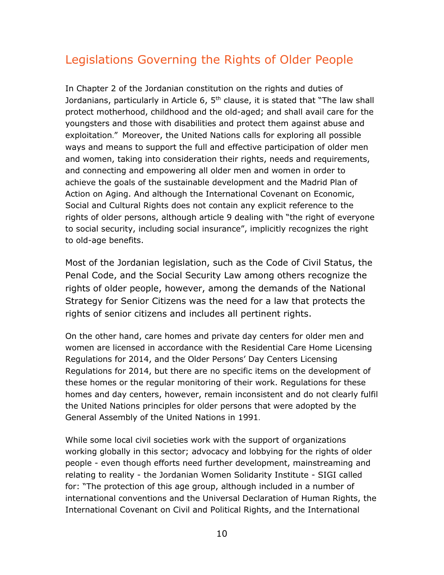# Legislations Governing the Rights of Older People

In Chapter 2 of the Jordanian constitution on the rights and duties of Jordanians, particularly in Article 6, 5<sup>th</sup> clause, it is stated that "The law shall protect motherhood, childhood and the old-aged; and shall avail care for the youngsters and those with disabilities and protect them against abuse and exploitation." Moreover, the United Nations calls for exploring all possible ways and means to support the full and effective participation of older men and women, taking into consideration their rights, needs and requirements, and connecting and empowering all older men and women in order to achieve the goals of the sustainable development and the Madrid Plan of Action on Aging. And although the International Covenant on Economic, Social and Cultural Rights does not contain any explicit reference to the rights of older persons, although article 9 dealing with "the right of everyone to social security, including social insurance", implicitly recognizes the right to old-age benefits.

Most of the Jordanian legislation, such as the Code of Civil Status, the Penal Code, and the Social Security Law among others recognize the rights of older people, however, among the demands of the National Strategy for Senior Citizens was the need for a law that protects the rights of senior citizens and includes all pertinent rights.

On the other hand, care homes and private day centers for older men and women are licensed in accordance with the Residential Care Home Licensing Regulations for 2014, and the Older Persons' Day Centers Licensing Regulations for 2014, but there are no specific items on the development of these homes or the regular monitoring of their work. Regulations for these homes and day centers, however, remain inconsistent and do not clearly fulfil the United Nations principles for older persons that were adopted by the General Assembly of the United Nations in 1991.

While some local civil societies work with the support of organizations working globally in this sector; advocacy and lobbying for the rights of older people - even though efforts need further development, mainstreaming and relating to reality - the Jordanian Women Solidarity Institute - SIGI called for: "The protection of this age group, although included in a number of international conventions and the Universal Declaration of Human Rights, the International Covenant on Civil and Political Rights, and the International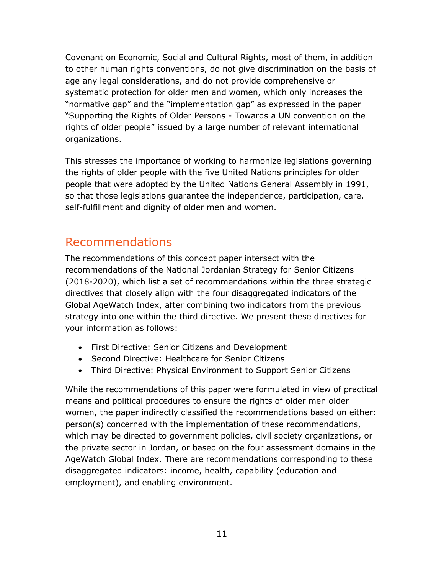Covenant on Economic, Social and Cultural Rights, most of them, in addition to other human rights conventions, do not give discrimination on the basis of age any legal considerations, and do not provide comprehensive or systematic protection for older men and women, which only increases the "normative gap" and the "implementation gap" as expressed in the paper "Supporting the Rights of Older Persons - Towards a UN convention on the rights of older people" issued by a large number of relevant international organizations.

This stresses the importance of working to harmonize legislations governing the rights of older people with the five United Nations principles for older people that were adopted by the United Nations General Assembly in 1991, so that those legislations guarantee the independence, participation, care, self-fulfillment and dignity of older men and women.

## Recommendations

The recommendations of this concept paper intersect with the recommendations of the National Jordanian Strategy for Senior Citizens (2018-2020), which list a set of recommendations within the three strategic directives that closely align with the four disaggregated indicators of the Global AgeWatch Index, after combining two indicators from the previous strategy into one within the third directive. We present these directives for your information as follows:

- First Directive: Senior Citizens and Development
- Second Directive: Healthcare for Senior Citizens
- Third Directive: Physical Environment to Support Senior Citizens

While the recommendations of this paper were formulated in view of practical means and political procedures to ensure the rights of older men older women, the paper indirectly classified the recommendations based on either: person(s) concerned with the implementation of these recommendations, which may be directed to government policies, civil society organizations, or the private sector in Jordan, or based on the four assessment domains in the AgeWatch Global Index. There are recommendations corresponding to these disaggregated indicators: income, health, capability (education and employment), and enabling environment.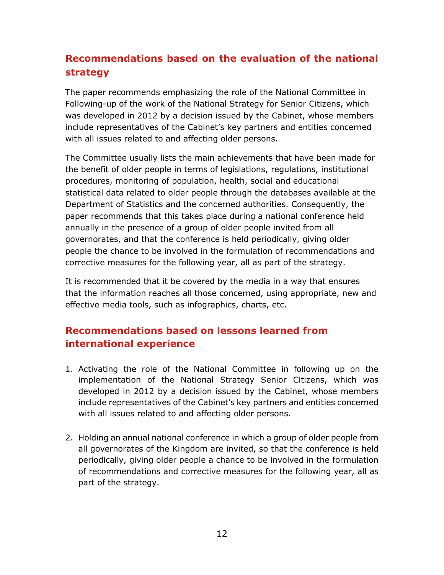## **Recommendations based on the evaluation of the national strategy**

The paper recommends emphasizing the role of the National Committee in Following-up of the work of the National Strategy for Senior Citizens, which was developed in 2012 by a decision issued by the Cabinet, whose members include representatives of the Cabinet's key partners and entities concerned with all issues related to and affecting older persons.

The Committee usually lists the main achievements that have been made for the benefit of older people in terms of legislations, regulations, institutional procedures, monitoring of population, health, social and educational statistical data related to older people through the databases available at the Department of Statistics and the concerned authorities. Consequently, the paper recommends that this takes place during a national conference held annually in the presence of a group of older people invited from all governorates, and that the conference is held periodically, giving older people the chance to be involved in the formulation of recommendations and corrective measures for the following year, all as part of the strategy.

It is recommended that it be covered by the media in a way that ensures that the information reaches all those concerned, using appropriate, new and effective media tools, such as infographics, charts, etc.

### **Recommendations based on lessons learned from international experience**

- 1. Activating the role of the National Committee in following up on the implementation of the National Strategy Senior Citizens, which was developed in 2012 by a decision issued by the Cabinet, whose members include representatives of the Cabinet's key partners and entities concerned with all issues related to and affecting older persons.
- 2. Holding an annual national conference in which a group of older people from all governorates of the Kingdom are invited, so that the conference is held periodically, giving older people a chance to be involved in the formulation of recommendations and corrective measures for the following year, all as part of the strategy.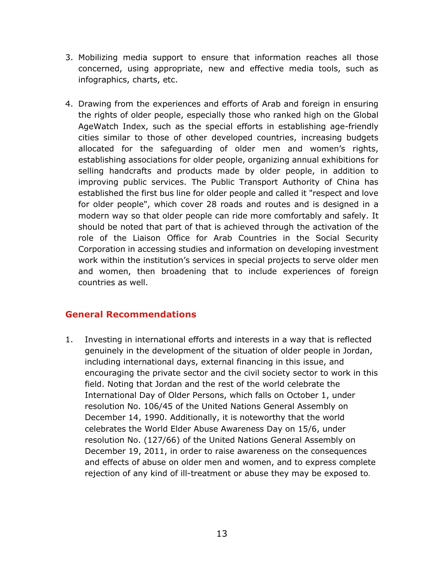- 3. Mobilizing media support to ensure that information reaches all those concerned, using appropriate, new and effective media tools, such as infographics, charts, etc.
- 4. Drawing from the experiences and efforts of Arab and foreign in ensuring the rights of older people, especially those who ranked high on the Global AgeWatch Index, such as the special efforts in establishing age-friendly cities similar to those of other developed countries, increasing budgets allocated for the safeguarding of older men and women's rights, establishing associations for older people, organizing annual exhibitions for selling handcrafts and products made by older people, in addition to improving public services. The Public Transport Authority of China has established the first bus line for older people and called it "respect and love for older people", which cover 28 roads and routes and is designed in a modern way so that older people can ride more comfortably and safely. It should be noted that part of that is achieved through the activation of the role of the Liaison Office for Arab Countries in the Social Security Corporation in accessing studies and information on developing investment work within the institution's services in special projects to serve older men and women, then broadening that to include experiences of foreign countries as well.

### **General Recommendations**

1. Investing in international efforts and interests in a way that is reflected genuinely in the development of the situation of older people in Jordan, including international days, external financing in this issue, and encouraging the private sector and the civil society sector to work in this field. Noting that Jordan and the rest of the world celebrate the International Day of Older Persons, which falls on October 1, under resolution No. 106/45 of the United Nations General Assembly on December 14, 1990. Additionally, it is noteworthy that the world celebrates the World Elder Abuse Awareness Day on 15/6, under resolution No. (127/66) of the United Nations General Assembly on December 19, 2011, in order to raise awareness on the consequences and effects of abuse on older men and women, and to express complete rejection of any kind of ill-treatment or abuse they may be exposed to.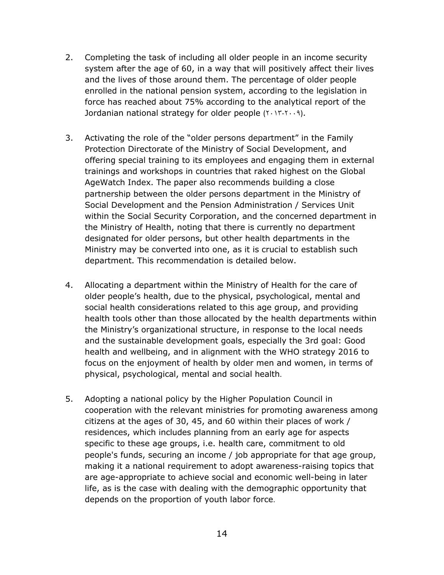- 2. Completing the task of including all older people in an income security system after the age of 60, in a way that will positively affect their lives and the lives of those around them. The percentage of older people enrolled in the national pension system, according to the legislation in force has reached about 75% according to the analytical report of the Jordanian national strategy for older people  $(Y, Y, Y, P)$ .
- 3. Activating the role of the "older persons department" in the Family Protection Directorate of the Ministry of Social Development, and offering special training to its employees and engaging them in external trainings and workshops in countries that raked highest on the Global AgeWatch Index. The paper also recommends building a close partnership between the older persons department in the Ministry of Social Development and the Pension Administration / Services Unit within the Social Security Corporation, and the concerned department in the Ministry of Health, noting that there is currently no department designated for older persons, but other health departments in the Ministry may be converted into one, as it is crucial to establish such department. This recommendation is detailed below.
- 4. Allocating a department within the Ministry of Health for the care of older people's health, due to the physical, psychological, mental and social health considerations related to this age group, and providing health tools other than those allocated by the health departments within the Ministry's organizational structure, in response to the local needs and the sustainable development goals, especially the 3rd goal: Good health and wellbeing, and in alignment with the WHO strategy 2016 to focus on the enjoyment of health by older men and women, in terms of physical, psychological, mental and social health.
- 5. Adopting a national policy by the Higher Population Council in cooperation with the relevant ministries for promoting awareness among citizens at the ages of 30, 45, and 60 within their places of work / residences, which includes planning from an early age for aspects specific to these age groups, i.e. health care, commitment to old people's funds, securing an income / job appropriate for that age group, making it a national requirement to adopt awareness-raising topics that are age-appropriate to achieve social and economic well-being in later life, as is the case with dealing with the demographic opportunity that depends on the proportion of youth labor force.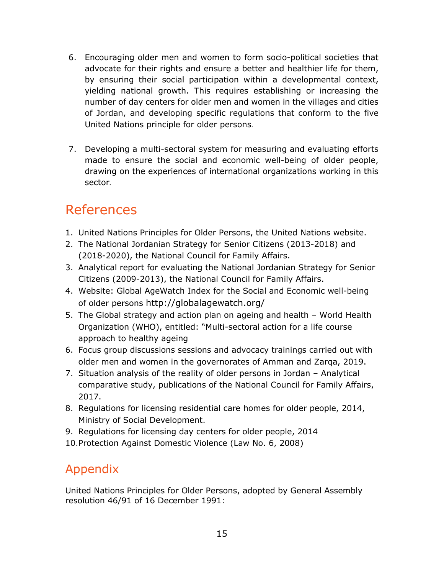- 6. Encouraging older men and women to form socio-political societies that advocate for their rights and ensure a better and healthier life for them, by ensuring their social participation within a developmental context, yielding national growth. This requires establishing or increasing the number of day centers for older men and women in the villages and cities of Jordan, and developing specific regulations that conform to the five United Nations principle for older persons.
- 7. Developing a multi-sectoral system for measuring and evaluating efforts made to ensure the social and economic well-being of older people, drawing on the experiences of international organizations working in this sector.

# References

- 1. United Nations Principles for Older Persons, the United Nations website.
- 2. The National Jordanian Strategy for Senior Citizens (2013-2018) and (2018-2020), the National Council for Family Affairs.
- 3. Analytical report for evaluating the National Jordanian Strategy for Senior Citizens (2009-2013), the National Council for Family Affairs.
- 4. Website: Global AgeWatch Index for the Social and Economic well-being of older persons <http://globalagewatch.org/>
- 5. The Global strategy and action plan on ageing and health World Health Organization (WHO), entitled: "Multi-sectoral action for a life course approach to healthy ageing
- 6. Focus group discussions sessions and advocacy trainings carried out with older men and women in the governorates of Amman and Zarqa, 2019.
- 7. Situation analysis of the reality of older persons in Jordan Analytical comparative study, publications of the National Council for Family Affairs, 2017.
- 8. Regulations for licensing residential care homes for older people, 2014, Ministry of Social Development.
- 9. Regulations for licensing day centers for older people, 2014

10.Protection Against Domestic Violence (Law No. 6, 2008)

# Appendix

United Nations Principles for Older Persons, adopted by General Assembly resolution 46/91 of 16 December 1991: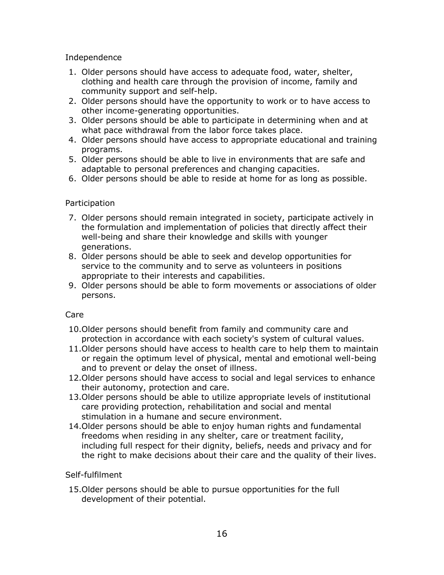Independence

- 1. Older persons should have access to adequate food, water, shelter, clothing and health care through the provision of income, family and community support and self-help.
- 2. Older persons should have the opportunity to work or to have access to other income-generating opportunities.
- 3. Older persons should be able to participate in determining when and at what pace withdrawal from the labor force takes place.
- 4. Older persons should have access to appropriate educational and training programs.
- 5. Older persons should be able to live in environments that are safe and adaptable to personal preferences and changing capacities.
- 6. Older persons should be able to reside at home for as long as possible.

### Participation

- 7. Older persons should remain integrated in society, participate actively in the formulation and implementation of policies that directly affect their well-being and share their knowledge and skills with younger generations.
- 8. Older persons should be able to seek and develop opportunities for service to the community and to serve as volunteers in positions appropriate to their interests and capabilities.
- 9. Older persons should be able to form movements or associations of older persons.

#### Care

- 10.Older persons should benefit from family and community care and protection in accordance with each society's system of cultural values.
- 11.Older persons should have access to health care to help them to maintain or regain the optimum level of physical, mental and emotional well-being and to prevent or delay the onset of illness.
- 12.Older persons should have access to social and legal services to enhance their autonomy, protection and care.
- 13.Older persons should be able to utilize appropriate levels of institutional care providing protection, rehabilitation and social and mental stimulation in a humane and secure environment.
- 14.Older persons should be able to enjoy human rights and fundamental freedoms when residing in any shelter, care or treatment facility, including full respect for their dignity, beliefs, needs and privacy and for the right to make decisions about their care and the quality of their lives.

### Self-fulfilment

15.Older persons should be able to pursue opportunities for the full development of their potential.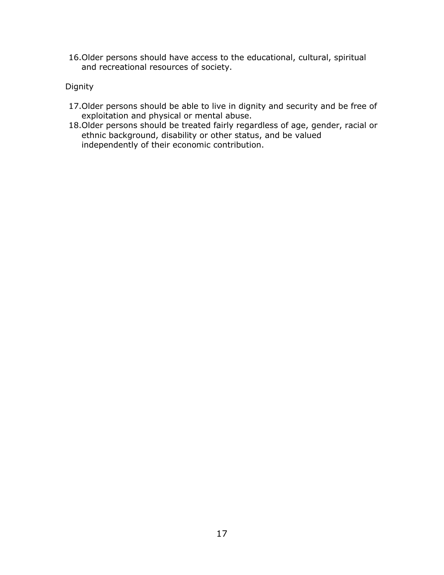16.Older persons should have access to the educational, cultural, spiritual and recreational resources of society.

#### Dignity

- 17.Older persons should be able to live in dignity and security and be free of exploitation and physical or mental abuse.
- 18.Older persons should be treated fairly regardless of age, gender, racial or ethnic background, disability or other status, and be valued independently of their economic contribution.